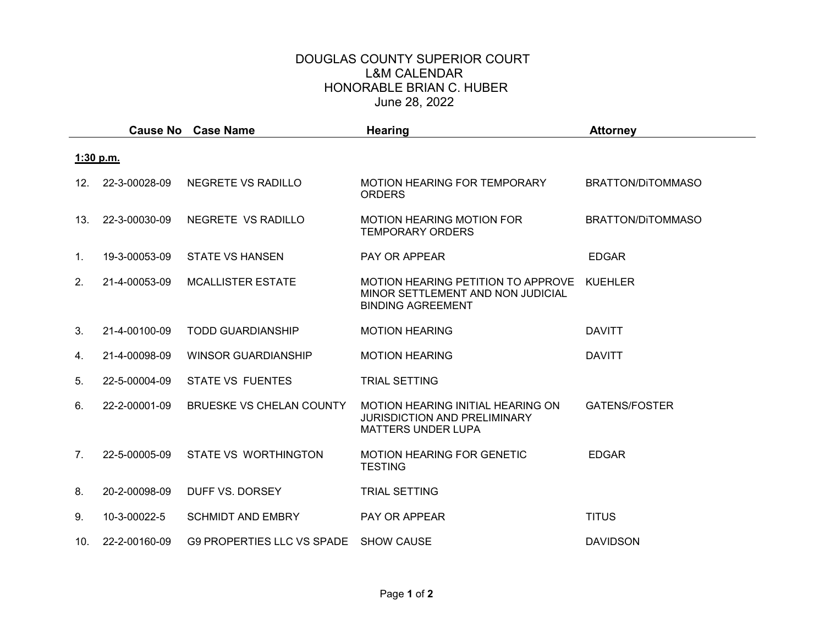## DOUGLAS COUNTY SUPERIOR COURT L&M CALENDAR HONORABLE BRIAN C. HUBER June 28, 2022

|           |                |               | <b>Cause No Case Name</b>         | <b>Hearing</b>                                                                                               | <b>Attorney</b>      |  |  |  |
|-----------|----------------|---------------|-----------------------------------|--------------------------------------------------------------------------------------------------------------|----------------------|--|--|--|
| 1:30 p.m. |                |               |                                   |                                                                                                              |                      |  |  |  |
|           | 12.            | 22-3-00028-09 | NEGRETE VS RADILLO                | MOTION HEARING FOR TEMPORARY<br><b>ORDERS</b>                                                                | BRATTON/DITOMMASO    |  |  |  |
|           | 13.            | 22-3-00030-09 | NEGRETE VS RADILLO                | <b>MOTION HEARING MOTION FOR</b><br><b>TEMPORARY ORDERS</b>                                                  | BRATTON/DITOMMASO    |  |  |  |
|           | 1.             | 19-3-00053-09 | <b>STATE VS HANSEN</b>            | <b>PAY OR APPEAR</b>                                                                                         | <b>EDGAR</b>         |  |  |  |
|           | 2.             | 21-4-00053-09 | <b>MCALLISTER ESTATE</b>          | MOTION HEARING PETITION TO APPROVE<br>MINOR SETTLEMENT AND NON JUDICIAL<br><b>BINDING AGREEMENT</b>          | <b>KUEHLER</b>       |  |  |  |
|           | 3.             | 21-4-00100-09 | <b>TODD GUARDIANSHIP</b>          | <b>MOTION HEARING</b>                                                                                        | <b>DAVITT</b>        |  |  |  |
|           | 4.             | 21-4-00098-09 | <b>WINSOR GUARDIANSHIP</b>        | <b>MOTION HEARING</b>                                                                                        | <b>DAVITT</b>        |  |  |  |
|           | 5.             | 22-5-00004-09 | <b>STATE VS FUENTES</b>           | <b>TRIAL SETTING</b>                                                                                         |                      |  |  |  |
|           | 6.             | 22-2-00001-09 | BRUESKE VS CHELAN COUNTY          | <b>MOTION HEARING INITIAL HEARING ON</b><br><b>JURISDICTION AND PRELIMINARY</b><br><b>MATTERS UNDER LUPA</b> | <b>GATENS/FOSTER</b> |  |  |  |
|           | 7 <sub>1</sub> | 22-5-00005-09 | <b>STATE VS WORTHINGTON</b>       | <b>MOTION HEARING FOR GENETIC</b><br><b>TESTING</b>                                                          | <b>EDGAR</b>         |  |  |  |
|           | 8.             | 20-2-00098-09 | DUFF VS. DORSEY                   | <b>TRIAL SETTING</b>                                                                                         |                      |  |  |  |
|           | 9.             | 10-3-00022-5  | <b>SCHMIDT AND EMBRY</b>          | <b>PAY OR APPEAR</b>                                                                                         | <b>TITUS</b>         |  |  |  |
|           | 10.            | 22-2-00160-09 | <b>G9 PROPERTIES LLC VS SPADE</b> | <b>SHOW CAUSE</b>                                                                                            | <b>DAVIDSON</b>      |  |  |  |